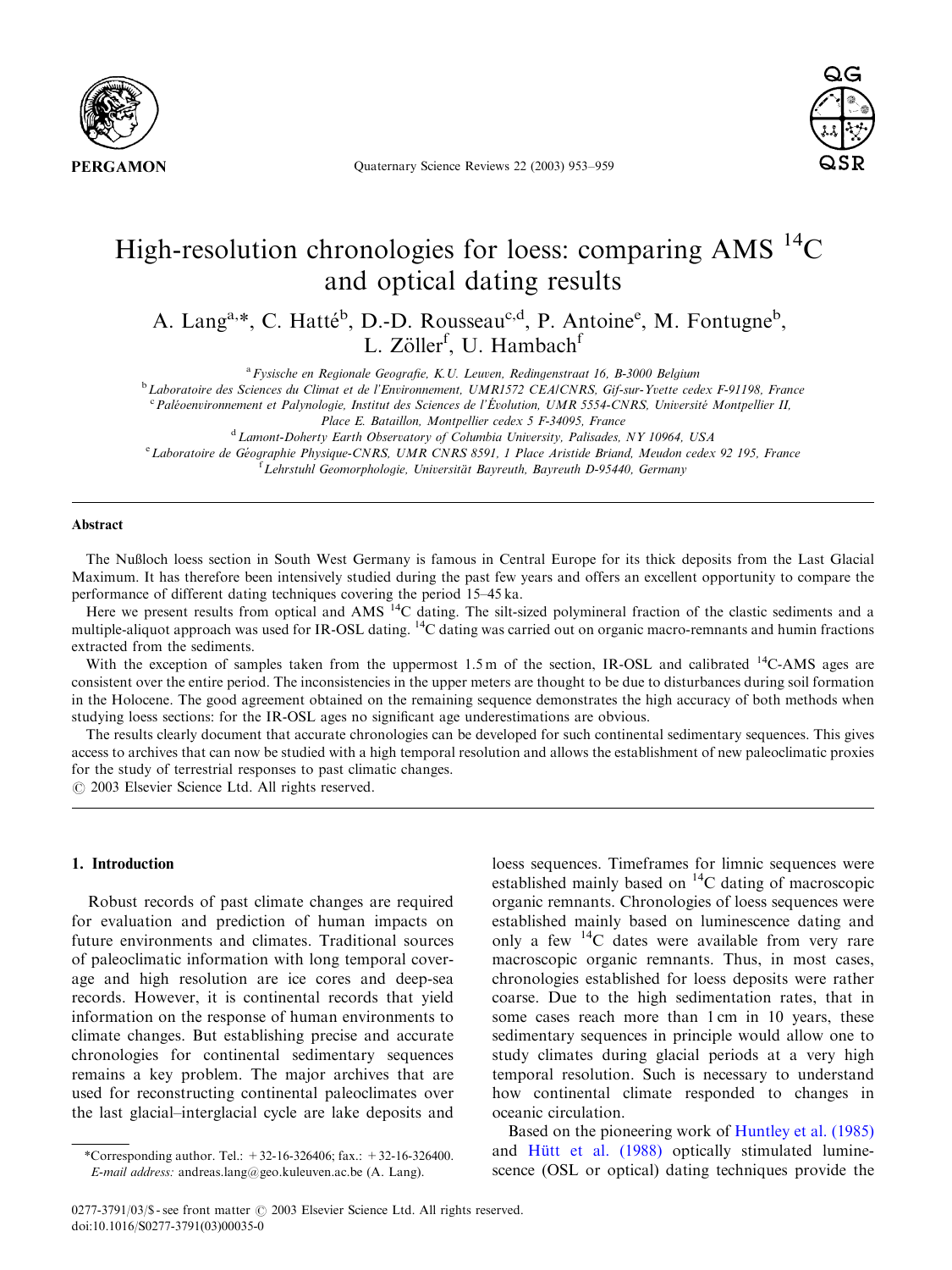

Quaternary Science Reviews 22 (2003) 953–959



# High-resolution chronologies for loess: comparing AMS  $^{14}C$ and optical dating results

A. Lang<sup>a,\*</sup>, C. Hatté<sup>b</sup>, D.-D. Rousseau<sup>c,d</sup>, P. Antoine<sup>e</sup>, M. Fontugne<sup>b</sup>, L. Zöller<sup>f</sup>, U. Hambach<sup>f</sup>

 $a<sup>a</sup> F<sub>V</sub>$ sische en Regionale Geografie, K.U. Leuven, Redingenstraat 16, B-3000 Belgium

<sup>b</sup>Laboratoire des Sciences du Climat et de l'Environnement, UMR1572 CEA/CNRS, Gif-sur-Yvette cedex F-91198, France

<sup>c</sup> Paléoenvironnement et Palynologie, Institut des Sciences de l'Évolution, UMR 5554-CNRS, Université Montpellier II,

<sup>d</sup> Lamont-Doherty Earth Observatory of Columbia University, Palisades, NY 10964, USA

<sup>e</sup> Laboratoire de Géographie Physique-CNRS, UMR CNRS 8591, 1 Place Aristide Briand, Meudon cedex 92 195, France <sup>f</sup> Lehrstuhl Geomorphologie, Universität Bayreuth, Bayreuth D-95440, Germany

## Abstract

The Nußloch loess section in South West Germany is famous in Central Europe for its thick deposits from the Last Glacial Maximum. It has therefore been intensively studied during the past few years and offers an excellent opportunity to compare the performance of different dating techniques covering the period 15–45 ka.

Here we present results from optical and  $\overline{AMS}$   $\overline{14}$ C dating. The silt-sized polymineral fraction of the clastic sediments and a multiple-aliquot approach was used for IR-OSL dating. 14C dating was carried out on organic macro-remnants and humin fractions extracted from the sediments.

With the exception of samples taken from the uppermost  $1.5$  m of the section, IR-OSL and calibrated  $^{14}$ C-AMS ages are consistent over the entire period. The inconsistencies in the upper meters are thought to be due to disturbances during soil formation in the Holocene. The good agreement obtained on the remaining sequence demonstrates the high accuracy of both methods when studying loess sections: for the IR-OSL ages no significant age underestimations are obvious.

The results clearly document that accurate chronologies can be developed for such continental sedimentary sequences. This gives access to archives that can now be studied with a high temporal resolution and allows the establishment of new paleoclimatic proxies for the study of terrestrial responses to past climatic changes.

 $O$  2003 Elsevier Science Ltd. All rights reserved.

### 1. Introduction

Robust records of past climate changes are required for evaluation and prediction of human impacts on future environments and climates. Traditional sources of paleoclimatic information with long temporal coverage and high resolution are ice cores and deep-sea records. However, it is continental records that yield information on the response of human environments to climate changes. But establishing precise and accurate chronologies for continental sedimentary sequences remains a key problem. The major archives that are used for reconstructing continental paleoclimates over the last glacial–interglacial cycle are lake deposits and loess sequences. Timeframes for limnic sequences were established mainly based on  $^{14}$ C dating of macroscopic organic remnants. Chronologies of loess sequences were established mainly based on luminescence dating and only a few  $^{14}$ C dates were available from very rare macroscopic organic remnants. Thus, in most cases, chronologies established for loess deposits were rather coarse. Due to the high sedimentation rates, that in some cases reach more than 1 cm in 10 years, these sedimentary sequences in principle would allow one to study climates during glacial periods at a very high temporal resolution. Such is necessary to understand how continental climate responded to changes in oceanic circulation.

Based on the pioneering work of [Huntley et al. \(1985\)](#page-5-0) and [H](#page-6-0)ü[tt et al. \(1988\)](#page-6-0) optically stimulated luminescence (OSL or optical) dating techniques provide the

Place E. Bataillon, Montpellier cedex 5 F-34095, France

<sup>\*</sup>Corresponding author. Tel.:  $+32-16-326406$ ; fax.:  $+32-16-326400$ . E-mail address: andreas.lang@geo.kuleuven.ac.be (A. Lang).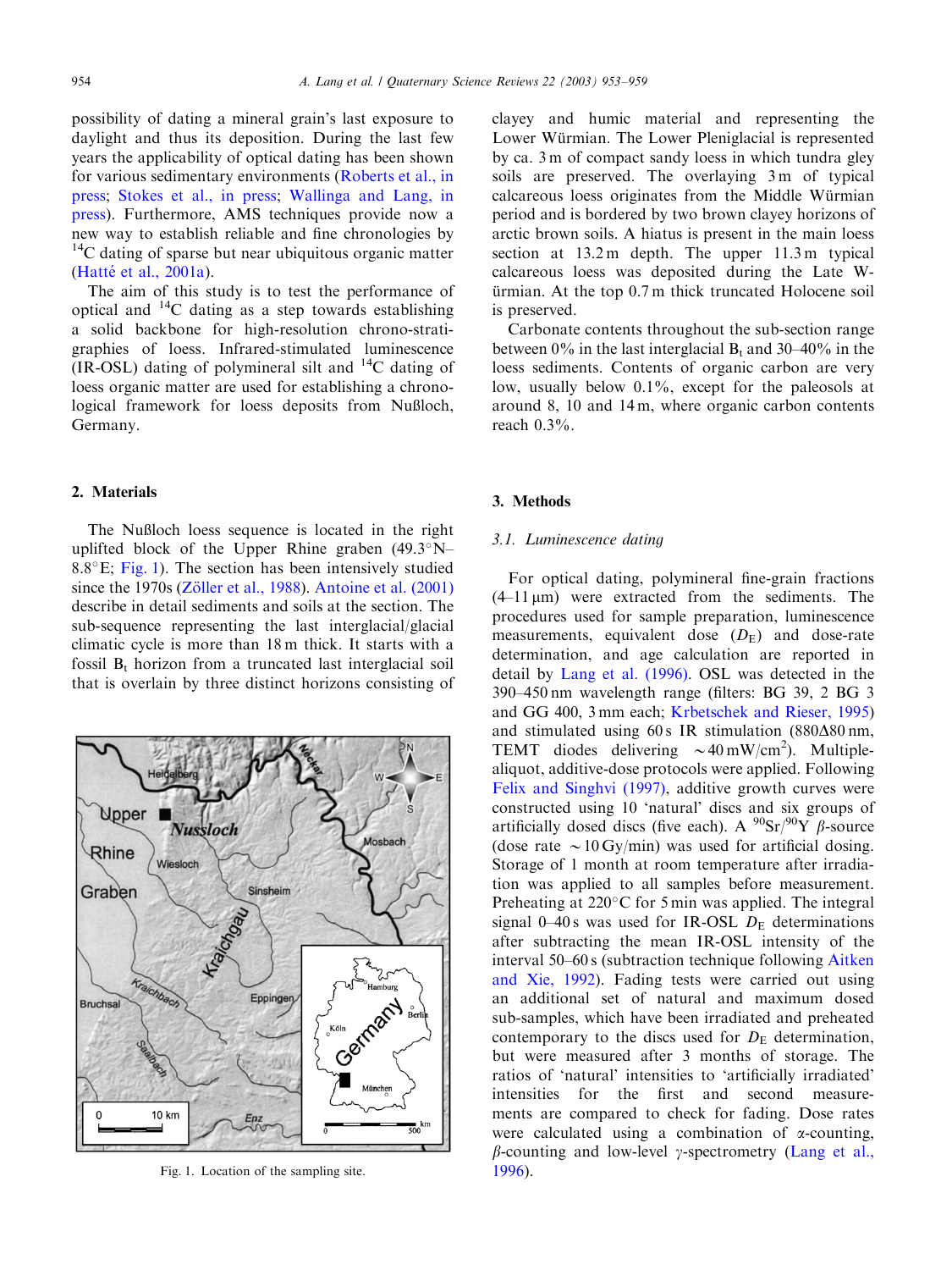possibility of dating a mineral grain's last exposure to daylight and thus its deposition. During the last few years the applicability of optical dating has been shown for various sedimentary environments ([Roberts et al., in](#page-6-0) [press](#page-6-0); [Stokes et al., in press](#page-6-0); [Wallinga and Lang, in](#page-6-0) [press](#page-6-0)). Furthermore, AMS techniques provide now a new way to establish reliable and fine chronologies by  $14$ C dating of sparse but near ubiquitous organic matter (Hatté et al., 2001a).

The aimof this study is to test the performance of optical and  $^{14}$ C dating as a step towards establishing a solid backbone for high-resolution chrono-stratigraphies of loess. Infrared-stimulated luminescence (IR-OSL) dating of polymineral silt and  $^{14}C$  dating of loess organic matter are used for establishing a chronological framework for loess deposits from Nußloch, Germany.

### 2. Materials

The Nußloch loess sequence is located in the right uplifted block of the Upper Rhine graben  $(49.3^{\circ}N-$ 8.8 $\degree$ E; Fig. 1). The section has been intensively studied since the 1970s ([Z](#page-6-0)ö[ller et al., 1988](#page-6-0)). Antoine et al.  $(2001)$ describe in detail sediments and soils at the section. The sub-sequence representing the last interglacial/glacial climatic cycle is more than 18 m thick. It starts with a fossil  $B_t$ , horizon from a truncated last interglacial soil that is overlain by three distinct horizons consisting of



Fig. 1. Location of the sampling site. [1996\)](#page-6-0).

clayey and humic material and representing the Lower Würmian. The Lower Pleniglacial is represented by ca. 3 m of compact sandy loess in which tundra gley soils are preserved. The overlaying 3m of typical calcareous loess originates from the Middle Würmian period and is bordered by two brown clayey horizons of arctic brown soils. A hiatus is present in the main loess section at  $13.2 \text{ m}$  depth. The upper  $11.3 \text{ m}$  typical calcareous loess was deposited during the Late W $ürmian. At the top  $0.7 \text{ m}$  thick truncated Holocene soil.$ is preserved.

Carbonate contents throughout the sub-section range between  $0\%$  in the last interglacial  $B_t$  and  $30-40\%$  in the loess sediments. Contents of organic carbon are very low, usually below 0.1%, except for the paleosols at around 8, 10 and 14 m, where organic carbon contents reach 0.3%.

### 3. Methods

# 3.1. Luminescence dating

For optical dating, polymineral fine-grain fractions  $(4-11 \,\mu m)$  were extracted from the sediments. The procedures used for sample preparation, luminescence measurements, equivalent dose  $(D<sub>E</sub>)$  and dose-rate determination, and age calculation are reported in detail by [Lang et al. \(1996\)](#page-6-0). OSL was detected in the 390–450 nmwavelength range (filters: BG 39, 2 BG 3 and GG 400, 3 mm each; [Krbetschek and Rieser, 1995\)](#page-6-0) and stimulated using  $60 s$  IR stimulation  $(880\Delta80 \text{ nm},$ TEMT diodes delivering  $\sim 40 \text{ mW/cm}^2$ ). Multiplealiquot, additive-dose protocols were applied. Following [Felix and Singhvi \(1997\)](#page-5-0), additive growth curves were constructed using 10 'natural' discs and six groups of artificially dosed discs (five each). A  $^{90}Sr/^{90}Y$   $\beta$ -source (dose rate  $\sim 10$  Gy/min) was used for artificial dosing. Storage of 1 month at room temperature after irradiation was applied to all samples before measurement. Preheating at  $220^{\circ}$ C for 5 min was applied. The integral signal  $0-40$  s was used for IR-OSL  $D<sub>E</sub>$  determinations after subtracting the mean IR-OSL intensity of the interval 50–60 s (subtraction technique following [Aitken](#page-5-0) [and Xie, 1992](#page-5-0)). Fading tests were carried out using an additional set of natural and maximum dosed sub-samples, which have been irradiated and preheated contemporary to the discs used for  $D<sub>E</sub>$  determination, but were measured after 3 months of storage. The ratios of 'natural' intensities to 'artificially irradiated' intensities for the first and second measurements are compared to check for fading. Dose rates were calculated using a combination of  $\alpha$ -counting,  $\beta$ -counting and low-level  $\gamma$ -spectrometry [\(Lang et al.,](#page-6-0)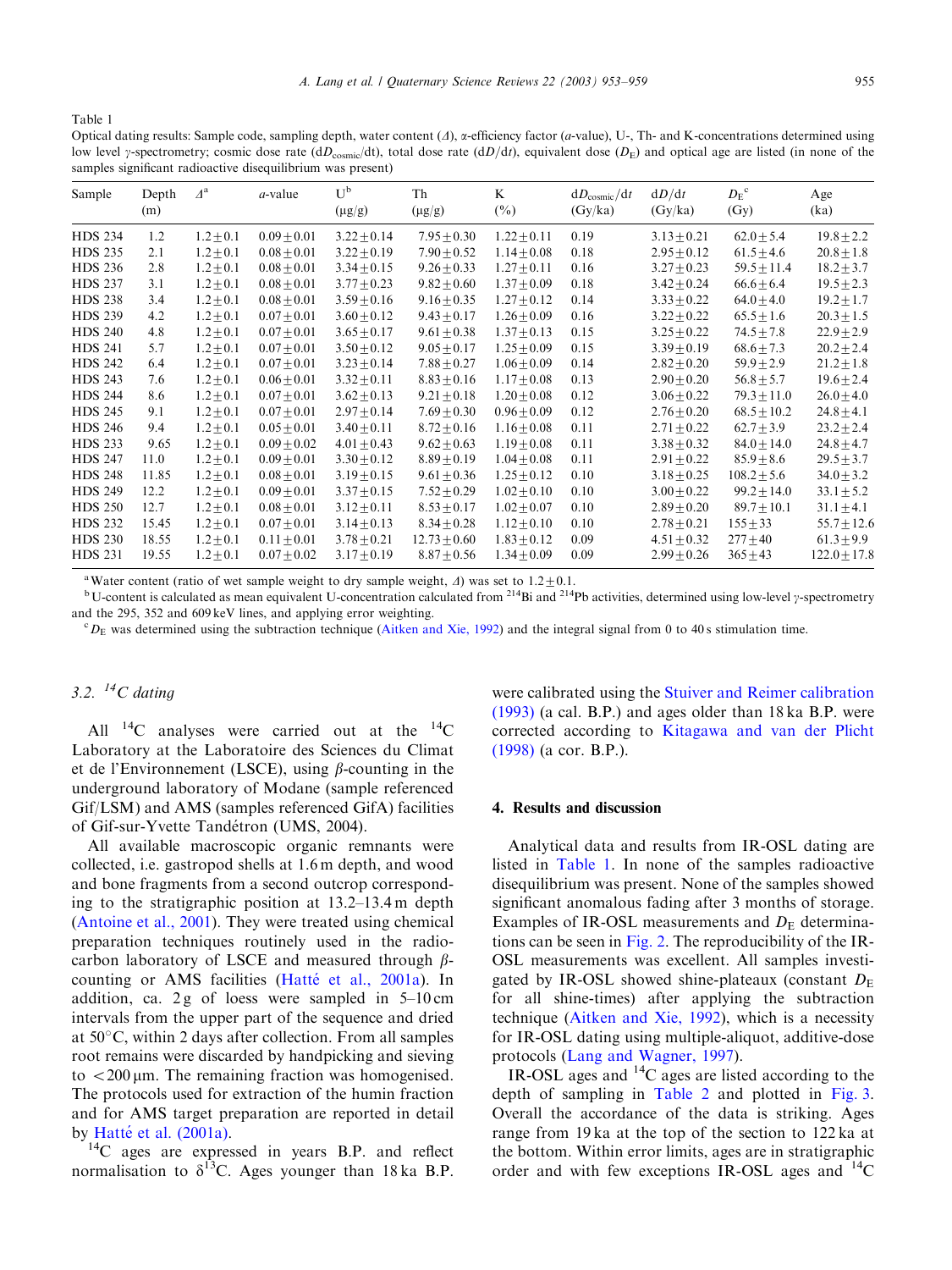Table 1

Optical dating results: Sample code, sampling depth, water content  $(\Lambda)$ ,  $\alpha$ -efficiency factor (*a*-value), U-, Th- and K-concentrations determined using low level y-spectrometry; cosmic dose rate (dD<sub>cosmic</sub>/dt), total dose rate (dD/dt), equivalent dose (D<sub>E</sub>) and optical age are listed (in none of the samples significant radioactive disequilibrium was present)

| Sample         | Depth<br>(m) | $\Delta^{\rm a}$ | $a$ -value      | U <sub>p</sub><br>$(\mu g/g)$ | Th<br>$(\mu g/g)$ | K<br>$(\%)$     | $dD_{\text{cosmic}}/dt$<br>(Gy/ka) | dD/dt<br>(Gy/ka) | $D_E^{\ c}$<br>(Gy) | Age<br>(ka)      |
|----------------|--------------|------------------|-----------------|-------------------------------|-------------------|-----------------|------------------------------------|------------------|---------------------|------------------|
| <b>HDS 234</b> | 1.2          | $1.2 + 0.1$      | $0.09 \pm 0.01$ | $3.22 \pm 0.14$               | $7.95 + 0.30$     | $1.22 \pm 0.11$ | 0.19                               | $3.13 \pm 0.21$  | $62.0 \pm 5.4$      | $19.8 \pm 2.2$   |
| <b>HDS 235</b> | 2.1          | $1.2 + 0.1$      | $0.08 + 0.01$   | $3.22 + 0.19$                 | $7.90 + 0.52$     | $1.14 + 0.08$   | 0.18                               | $2.95 + 0.12$    | $61.5 + 4.6$        | $20.8 + 1.8$     |
| <b>HDS 236</b> | 2.8          | $1.2 \pm 0.1$    | $0.08 \pm 0.01$ | $3.34 \pm 0.15$               | $9.26 \pm 0.33$   | $1.27 \pm 0.11$ | 0.16                               | $3.27 \pm 0.23$  | $59.5 \pm 11.4$     | $18.2 \pm 3.7$   |
| <b>HDS 237</b> | 3.1          | $1.2 + 0.1$      | $0.08 + 0.01$   | $3.77 + 0.23$                 | $9.82 + 0.60$     | $1.37 + 0.09$   | 0.18                               | $3.42 + 0.24$    | $66.6 + 6.4$        | $19.5 + 2.3$     |
| <b>HDS 238</b> | 3.4          | $1.2 + 0.1$      | $0.08 + 0.01$   | $3.59 + 0.16$                 | $9.16 + 0.35$     | $1.27 + 0.12$   | 0.14                               | $3.33 + 0.22$    | $64.0 \pm 4.0$      | $19.2 \pm 1.7$   |
| <b>HDS 239</b> | 4.2          | $1.2 + 0.1$      | $0.07 + 0.01$   | $3.60 + 0.12$                 | $9.43 + 0.17$     | $1.26 \pm 0.09$ | 0.16                               | $3.22 + 0.22$    | $65.5 \pm 1.6$      | $20.3 \pm 1.5$   |
| <b>HDS 240</b> | 4.8          | $1.2 \pm 0.1$    | $0.07 \pm 0.01$ | $3.65 \pm 0.17$               | $9.61 \pm 0.38$   | $1.37 \pm 0.13$ | 0.15                               | $3.25 + 0.22$    | $74.5 \pm 7.8$      | $22.9 \pm 2.9$   |
| <b>HDS 241</b> | 5.7          | $1.2 \pm 0.1$    | $0.07 \pm 0.01$ | $3.50 \pm 0.12$               | $9.05 \pm 0.17$   | $1.25 \pm 0.09$ | 0.15                               | $3.39 \pm 0.19$  | $68.6 \pm 7.3$      | $20.2 \pm 2.4$   |
| <b>HDS 242</b> | 6.4          | $1.2 + 0.1$      | $0.07 + 0.01$   | $3.23 \pm 0.14$               | $7.88 + 0.27$     | $1.06 \pm 0.09$ | 0.14                               | $2.82 + 0.20$    | $59.9 \pm 2.9$      | $21.2 \pm 1.8$   |
| <b>HDS 243</b> | 7.6          | $1.2 + 0.1$      | $0.06 + 0.01$   | $3.32 \pm 0.11$               | $8.83 + 0.16$     | $1.17 \pm 0.08$ | 0.13                               | $2.90 \pm 0.20$  | $56.8 \pm 5.7$      | $19.6 \pm 2.4$   |
| <b>HDS 244</b> | 8.6          | $1.2 + 0.1$      | $0.07 \pm 0.01$ | $3.62 \pm 0.13$               | $9.21 + 0.18$     | $1.20 \pm 0.08$ | 0.12                               | $3.06 \pm 0.22$  | $79.3 \pm 11.0$     | $26.0 \pm 4.0$   |
| <b>HDS 245</b> | 9.1          | $1.2 \pm 0.1$    | $0.07 \pm 0.01$ | $2.97 \pm 0.14$               | $7.69 \pm 0.30$   | $0.96 \pm 0.09$ | 0.12                               | $2.76 \pm 0.20$  | $68.5 \pm 10.2$     | $24.8 \pm 4.1$   |
| <b>HDS 246</b> | 9.4          | $1.2 \pm 0.1$    | $0.05 \pm 0.01$ | $3.40 \pm 0.11$               | $8.72 \pm 0.16$   | $1.16 \pm 0.08$ | 0.11                               | $2.71 \pm 0.22$  | $62.7 \pm 3.9$      | $23.2 \pm 2.4$   |
| <b>HDS 233</b> | 9.65         | $1.2 + 0.1$      | $0.09 + 0.02$   | $4.01 + 0.43$                 | $9.62 + 0.63$     | $1.19 + 0.08$   | 0.11                               | $3.38 + 0.32$    | $84.0 + 14.0$       | $24.8 \pm 4.7$   |
| <b>HDS 247</b> | 11.0         | $1.2 + 0.1$      | $0.09 \pm 0.01$ | $3.30 \pm 0.12$               | $8.89 + 0.19$     | $1.04 \pm 0.08$ | 0.11                               | $2.91 + 0.22$    | $85.9 \pm 8.6$      | $29.5 \pm 3.7$   |
| <b>HDS 248</b> | 11.85        | $1.2 + 0.1$      | $0.08 + 0.01$   | $3.19 + 0.15$                 | $9.61 + 0.36$     | $1.25 + 0.12$   | 0.10                               | $3.18 + 0.25$    | $108.2 \pm 5.6$     | $34.0 \pm 3.2$   |
| <b>HDS 249</b> | 12.2         | $1.2 \pm 0.1$    | $0.09 + 0.01$   | $3.37 \pm 0.15$               | $7.52 + 0.29$     | $1.02 \pm 0.10$ | 0.10                               | $3.00 + 0.22$    | $99.2 \pm 14.0$     | $33.1 \pm 5.2$   |
| <b>HDS 250</b> | 12.7         | $1.2 + 0.1$      | $0.08 + 0.01$   | $3.12 + 0.11$                 | $8.53 + 0.17$     | $1.02 + 0.07$   | 0.10                               | $2.89 + 0.20$    | $89.7 + 10.1$       | $31.1 \pm 4.1$   |
| <b>HDS 232</b> | 15.45        | $1.2 \pm 0.1$    | $0.07 \pm 0.01$ | $3.14 \pm 0.13$               | $8.34 \pm 0.28$   | $1.12 \pm 0.10$ | 0.10                               | $2.78 \pm 0.21$  | $155 \pm 33$        | $55.7 \pm 12.6$  |
| <b>HDS 230</b> | 18.55        | $1.2 + 0.1$      | $0.11 + 0.01$   | $3.78 + 0.21$                 | $12.73 + 0.60$    | $1.83 + 0.12$   | 0.09                               | $4.51 \pm 0.32$  | $277 + 40$          | $61.3 \pm 9.9$   |
| <b>HDS 231</b> | 19.55        | $1.2 + 0.1$      | $0.07 \pm 0.02$ | $3.17 \pm 0.19$               | $8.87 \pm 0.56$   | $1.34 \pm 0.09$ | 0.09                               | $2.99 + 0.26$    | $365 \pm 43$        | $122.0 \pm 17.8$ |

<sup>a</sup> Water content (ratio of wet sample weight to dry sample weight,  $\Delta$ ) was set to 1.2  $\pm$  0.1.

<sup>b</sup> U-content is calculated as mean equivalent U-concentration calculated from <sup>214</sup>Bi and <sup>214</sup>Pb activities, determined using low-level y-spectrometry and the  $295$ ,  $352$  and  $609$  keV lines, and applying error weighting.

 ${}^cD_E$  was determined using the subtraction technique ([Aitken and Xie, 1992](#page-5-0)) and the integral signal from 0 to 40 s stimulation time.

# 3.2.  ${}^{14}C$  dating

All  $^{14}$ C analyses were carried out at the  $^{14}$ C Laboratory at the Laboratoire des Sciences du Climat et de l'Environnement (LSCE), using  $\beta$ -counting in the underground laboratory of Modane (sample referenced Gif/LSM) and AMS (samples referenced GifA) facilities of Gif-sur-Yvette Tandétron (UMS, 2004).

All available macroscopic organic remnants were collected, i.e. gastropod shells at 1.6 m depth, and wood and bone fragments from a second outcrop corresponding to the stratigraphic position at  $13.2-13.4$  m depth [\(Antoine et al., 2001](#page-5-0)). They were treated using chemical preparation techniques routinely used in the radiocarbon laboratory of LSCE and measured through  $\beta$ counting or AMS facilities (Hatté et al., 2001a). In addition, ca. 2 g of loess were sampled in  $5-10$  cm intervals from the upper part of the sequence and dried at  $50^{\circ}$ C, within 2 days after collection. From all samples root remains were discarded by handpicking and sieving to  $\langle 200 \mu m \rangle$ . The remaining fraction was homogenised. The protocols used for extraction of the humin fraction and for AMS target preparation are reported in detail by Hatté et al. (2001a).<br> $^{14}C$  ages are expressed in years B.P. and reflect

normalisation to  $\delta^{13}$ C. Ages younger than 18 ka B.P.

were calibrated using the **[Stuiver and Reimer calibration](#page-6-0)** [\(1993\)](#page-6-0) (a cal. B.P.) and ages older than 18 ka B.P. were corrected according to [Kitagawa and van der Plicht](#page-6-0) [\(1998\)](#page-6-0) (a cor. B.P.).

### 4. Results and discussion

Analytical data and results from IR-OSL dating are listed in Table 1. In none of the samples radioactive disequilibrium was present. None of the samples showed significant anomalous fading after 3 months of storage. Examples of IR-OSL measurements and  $D<sub>E</sub>$  determinations can be seen in [Fig. 2](#page-3-0). The reproducibility of the IR-OSL measurements was excellent. All samples investigated by IR-OSL showed shine-plateaux (constant  $D_E$ for all shine-times) after applying the subtraction technique [\(Aitken and Xie, 1992\)](#page-5-0), which is a necessity for IR-OSL dating using multiple-aliquot, additive-dose protocols ([Lang and Wagner, 1997\)](#page-6-0).

IR-OSL ages and 14C ages are listed according to the depth of sampling in [Table 2](#page-4-0) and plotted in [Fig. 3](#page-5-0). Overall the accordance of the data is striking. Ages range from19 ka at the top of the section to 122 ka at the bottom. Within error limits, ages are in stratigraphic order and with few exceptions IR-OSL ages and  $^{14}$ C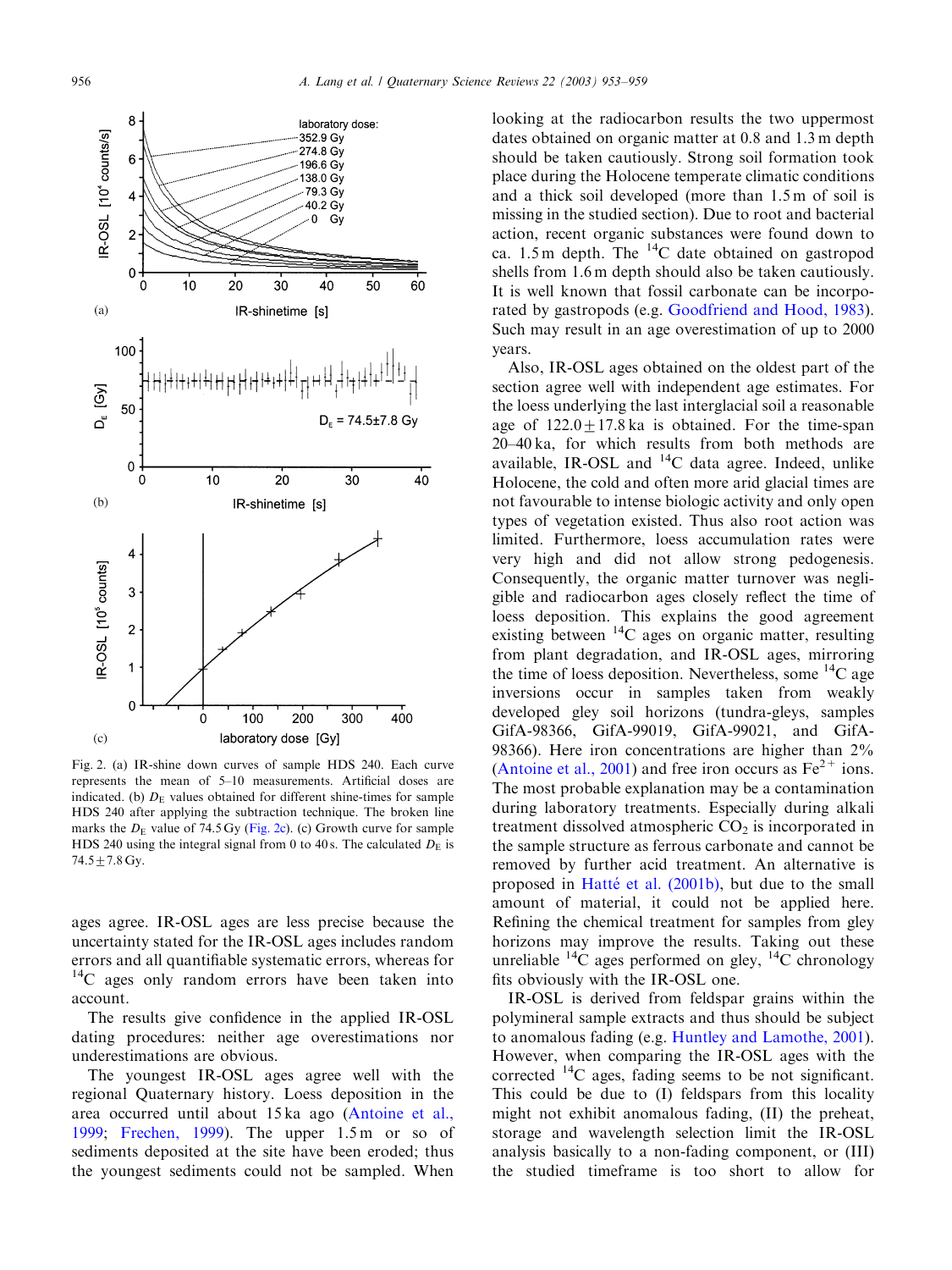<span id="page-3-0"></span>

Fig. 2. (a) IR-shine down curves of sample HDS 240. Each curve represents the mean of 5–10 measurements. Artificial doses are indicated. (b)  $D<sub>E</sub>$  values obtained for different shine-times for sample HDS 240 after applying the subtraction technique. The broken line marks the  $D_E$  value of 74.5 Gy (Fig. 2c). (c) Growth curve for sample HDS 240 using the integral signal from 0 to 40 s. The calculated  $D<sub>E</sub>$  is  $74.5 \pm 7.8$  Gy.

ages agree. IR-OSL ages are less precise because the uncertainty stated for the IR-OSL ages includes random errors and all quantifiable systematic errors, whereas for  $14C$  ages only random errors have been taken into account.

The results give confidence in the applied IR-OSL dating procedures: neither age overestimations nor underestimations are obvious.

The youngest IR-OSL ages agree well with the regional Quaternary history. Loess deposition in the area occurred until about 15 ka ago ([Antoine et al.,](#page-5-0) [1999;](#page-5-0) [Frechen, 1999](#page-5-0)). The upper 1.5m or so of sediments deposited at the site have been eroded; thus the youngest sediments could not be sampled. When

looking at the radiocarbon results the two uppermost dates obtained on organic matter at 0.8 and 1.3 m depth should be taken cautiously. Strong soil formation took place during the Holocene temperate climatic conditions and a thick soil developed (more than 1.5 m of soil is missing in the studied section). Due to root and bacterial action, recent organic substances were found down to ca.  $1.5 \text{ m}$  depth. The <sup>14</sup>C date obtained on gastropod shells from 1.6 m depth should also be taken cautiously. It is well known that fossil carbonate can be incorporated by gastropods (e.g. [Goodfriend and Hood, 1983\)](#page-5-0). Such may result in an age overestimation of up to 2000 years.

Also, IR-OSL ages obtained on the oldest part of the section agree well with independent age estimates. For the loess underlying the last interglacial soil a reasonable age of  $122.0 \pm 17.8$  ka is obtained. For the time-span  $20-40$  ka, for which results from both methods are available, IR-OSL and  ${}^{14}C$  data agree. Indeed, unlike Holocene, the cold and often more arid glacial times are not favourable to intense biologic activity and only open types of vegetation existed. Thus also root action was limited. Furthermore, loess accumulation rates were very high and did not allow strong pedogenesis. Consequently, the organic matter turnover was negligible and radiocarbon ages closely reflect the time of loess deposition. This explains the good agreement existing between  ${}^{14}C$  ages on organic matter, resulting from plant degradation, and IR-OSL ages, mirroring the time of loess deposition. Nevertheless, some  ${}^{14}C$  age inversions occur in samples taken from weakly developed gley soil horizons (tundra-gleys, samples GifA-98366, GifA-99019, GifA-99021, and GifA-98366). Here iron concentrations are higher than 2% [\(Antoine et al., 2001](#page-5-0)) and free iron occurs as  $Fe^{2+}$  ions. The most probable explanation may be a contamination during laboratory treatments. Especially during alkali treatment dissolved atmospheric  $CO<sub>2</sub>$  is incorporated in the sample structure as ferrous carbonate and cannot be removed by further acid treatment. An alternative is proposed in Hatté et al. (2001b), but due to the small amount of material, it could not be applied here. Refining the chemical treatment for samples from gley horizons may improve the results. Taking out these unreliable  ${}^{14}C$  ages performed on gley,  ${}^{14}C$  chronology fits obviously with the IR-OSL one.

IR-OSL is derived from feldspar grains within the polymineral sample extracts and thus should be subject to anomalous fading (e.g. [Huntley and Lamothe, 2001\)](#page-5-0). However, when comparing the IR-OSL ages with the corrected  $^{14}$ C ages, fading seems to be not significant. This could be due to (I) feldspars from this locality might not exhibit anomalous fading, (II) the preheat, storage and wavelength selection limit the IR-OSL analysis basically to a non-fading component, or (III) the studied timeframe is too short to allow for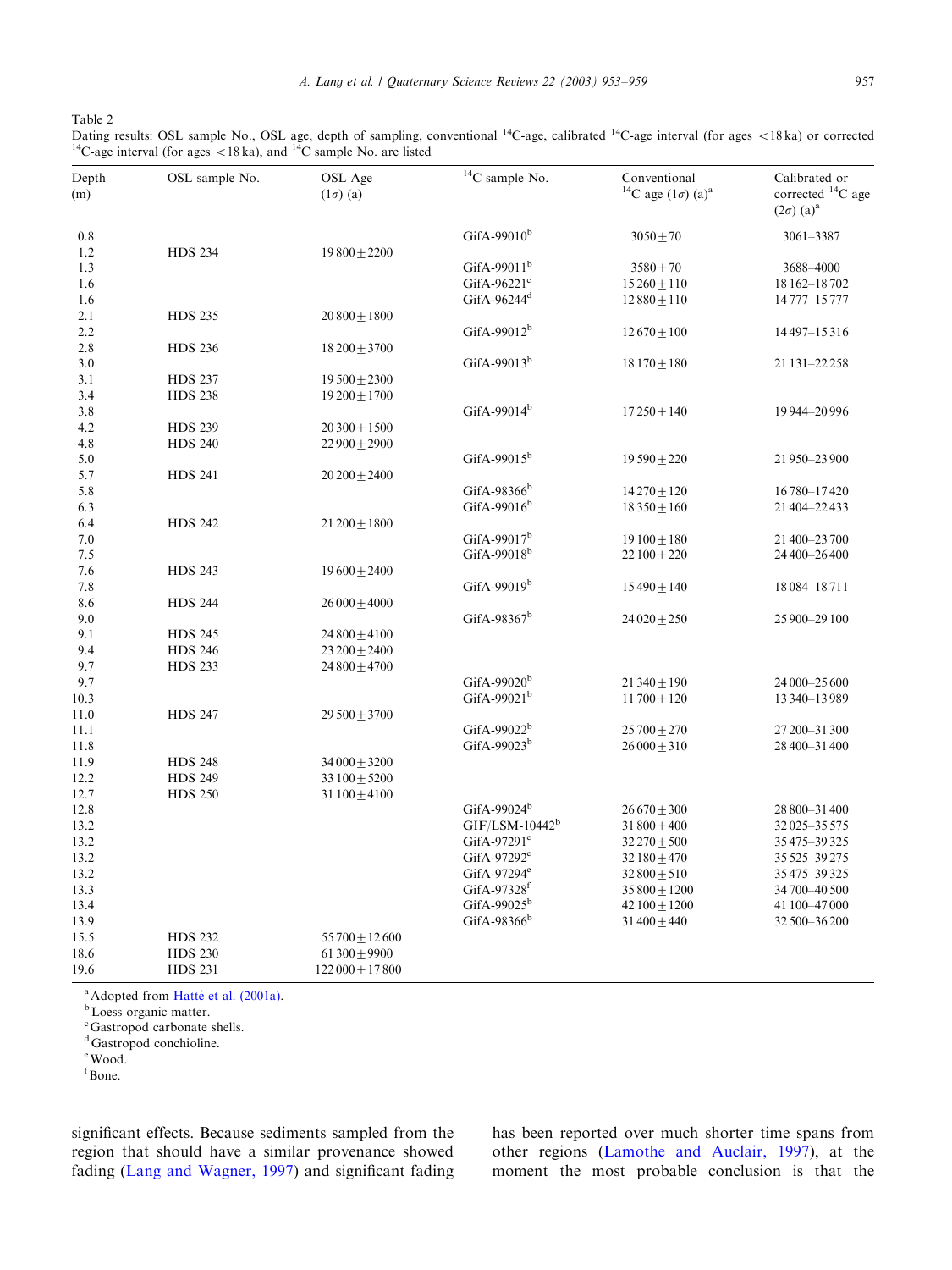<span id="page-4-0"></span>Table 2

Dating results: OSL sample No., OSL age, depth of sampling, conventional <sup>14</sup>C-age, calibrated <sup>14</sup>C-age interval (for ages <18 ka) or corrected <sup>14</sup>C-age interval (for ages <18 ka), and <sup>14</sup>C sample No. are listed

| Depth<br>(m) | OSL sample No. | OSL Age<br>$(1\sigma)$ (a) | $14$ C sample No.        | Conventional<br><sup>14</sup> C age $(1\sigma)$ (a) <sup>a</sup> | Calibrated or<br>corrected <sup>14</sup> C age<br>$(2\sigma)$ (a) <sup>a</sup> |
|--------------|----------------|----------------------------|--------------------------|------------------------------------------------------------------|--------------------------------------------------------------------------------|
| 0.8          |                |                            | GifA-99010 $b$           | $3050 \pm 70$                                                    | 3061-3387                                                                      |
| 1.2          | <b>HDS 234</b> | $19800 \pm 2200$           |                          |                                                                  |                                                                                |
| 1.3          |                |                            | GifA-99011 $b$           | $3580 + 70$                                                      | 3688-4000                                                                      |
| 1.6          |                |                            | GifA-96221 $\textdegree$ | $15260 \pm 110$                                                  | 18 162-18 702                                                                  |
| 1.6          |                |                            | GifA-96244 <sup>d</sup>  | $12880 \pm 110$                                                  | 14 777-15 777                                                                  |
| 2.1          | <b>HDS 235</b> | $20800 \pm 1800$           |                          |                                                                  |                                                                                |
| 2.2          |                |                            | GifA-99012 <sup>b</sup>  | $12670 \pm 100$                                                  | 14497-15316                                                                    |
| 2.8          | <b>HDS 236</b> | $18\,200 \pm 3700$         |                          |                                                                  |                                                                                |
| 3.0          |                |                            | GifA-99013 $b$           | $18170 \pm 180$                                                  | 21 131 - 22 258                                                                |
| 3.1          | <b>HDS 237</b> | $19500 \pm 2300$           |                          |                                                                  |                                                                                |
| 3.4          | <b>HDS 238</b> | $19200 \pm 1700$           |                          |                                                                  |                                                                                |
| 3.8          |                |                            | GifA-99014 $b$           | $17250 \pm 140$                                                  | 19944-20996                                                                    |
| 4.2          | <b>HDS 239</b> | $20300 \pm 1500$           |                          |                                                                  |                                                                                |
| 4.8          | <b>HDS 240</b> | $22900 \pm 2900$           |                          |                                                                  |                                                                                |
| 5.0          |                |                            | GifA-99015 <sup>b</sup>  | $19590 \pm 220$                                                  | 21950-23900                                                                    |
| 5.7          | <b>HDS 241</b> | $20\,200 \pm 2400$         |                          |                                                                  |                                                                                |
| 5.8          |                |                            | GifA-98366 $b$           | $14270 \pm 120$                                                  | 16780-17420                                                                    |
| 6.3          |                |                            | GifA-99016 $b$           | $18350 \pm 160$                                                  | 21 404-22 433                                                                  |
| 6.4          | <b>HDS 242</b> | $21\,200 \pm 1800$         |                          |                                                                  |                                                                                |
| $7.0\,$      |                |                            | GifA-99017 $b$           | $19\,100\pm180$                                                  | 21 400 - 23 700                                                                |
| 7.5          |                |                            | GifA-99018 $b$           | $22100 \pm 220$                                                  | 24 400 - 26 400                                                                |
| 7.6          | <b>HDS 243</b> | $19600 \pm 2400$           |                          |                                                                  |                                                                                |
| 7.8          |                |                            | GifA-99019 $b$           | $15490 \pm 140$                                                  | 18 084 - 18 711                                                                |
| 8.6          | <b>HDS 244</b> | $26000 \pm 4000$           |                          |                                                                  |                                                                                |
| 9.0          |                |                            | GifA-98367 $b$           | $24020 \pm 250$                                                  | 25 900 - 29 100                                                                |
| 9.1          | <b>HDS 245</b> | $24800 \pm 4100$           |                          |                                                                  |                                                                                |
| 9.4          | <b>HDS 246</b> | $23\,200 \pm 2400$         |                          |                                                                  |                                                                                |
| 9.7          | <b>HDS 233</b> | $24800 \pm 4700$           |                          |                                                                  |                                                                                |
| 9.7          |                |                            | GifA-99020 <sup>b</sup>  | 21 340 $\pm$ 190                                                 | 24 000 - 25 600                                                                |
| 10.3         |                |                            | GifA-99021 $b$           | $11700 \pm 120$                                                  | 13 340 - 13 989                                                                |
| 11.0         | <b>HDS 247</b> | $29500 \pm 3700$           |                          |                                                                  |                                                                                |
| 11.1         |                |                            | GifA-99022 $b$           | $25700 \pm 270$                                                  | 27 200 - 31 300                                                                |
| 11.8         |                |                            | GifA-99023 <sup>b</sup>  | $26000 \pm 310$                                                  | 28 400 - 31 400                                                                |
| 11.9         | <b>HDS 248</b> | $34000 \pm 3200$           |                          |                                                                  |                                                                                |
| 12.2         | <b>HDS 249</b> | 33 $100 \pm 5200$          |                          |                                                                  |                                                                                |
| 12.7         | <b>HDS 250</b> | 31 $100 \pm 4100$          |                          |                                                                  |                                                                                |
| 12.8         |                |                            | GifA-99024 $b$           | $26670 \pm 300$                                                  | 28 800 - 31 400                                                                |
| 13.2         |                |                            | $GIF/LSM-10442^b$        | 31 $800 \pm 400$                                                 | 32025-35575                                                                    |
| 13.2         |                |                            | GifA-97291 $^{\circ}$    | $32\,270 \pm 500$                                                | 35475-39325                                                                    |
| 13.2         |                |                            | GifA-97292 $e$           | 32 $180 \pm 470$                                                 | 35 525 - 39 275                                                                |
| 13.2         |                |                            | GifA-97294 $e$           | $32800 \pm 510$                                                  | 35475-39325                                                                    |
| 13.3         |                |                            | GifA-97328 $f$           | $35800 \pm 1200$                                                 | 34 700 - 40 500                                                                |
| 13.4         |                |                            | GifA-99025 <sup>b</sup>  | 42 $100 \pm 1200$                                                | 41 100-47 000                                                                  |
| 13.9         |                |                            | GifA-98366 $b$           | 31 $400 \pm 440$                                                 | 32 500 - 36 200                                                                |
| 15.5         | <b>HDS 232</b> | $55700 \pm 12600$          |                          |                                                                  |                                                                                |
| 18.6         | <b>HDS 230</b> | 61 300 $\pm$ 9900          |                          |                                                                  |                                                                                |
| 19.6         | <b>HDS 231</b> | $122000 \pm 17800$         |                          |                                                                  |                                                                                |

<sup>a</sup> Adopted from [Hatt](#page-5-0)é [et al. \(2001a\)](#page-5-0).<br><sup>b</sup> Loess organic matter.

c Gastropod carbonate shells.

<sup>d</sup>Gastropod conchioline.

e Wood.

f Bone.

significant effects. Because sediments sampled from the region that should have a similar provenance showed fading ([Lang and Wagner, 1997\)](#page-6-0) and significant fading has been reported over much shorter time spans from other regions ([Lamothe and Auclair, 1997](#page-6-0)), at the moment the most probable conclusion is that the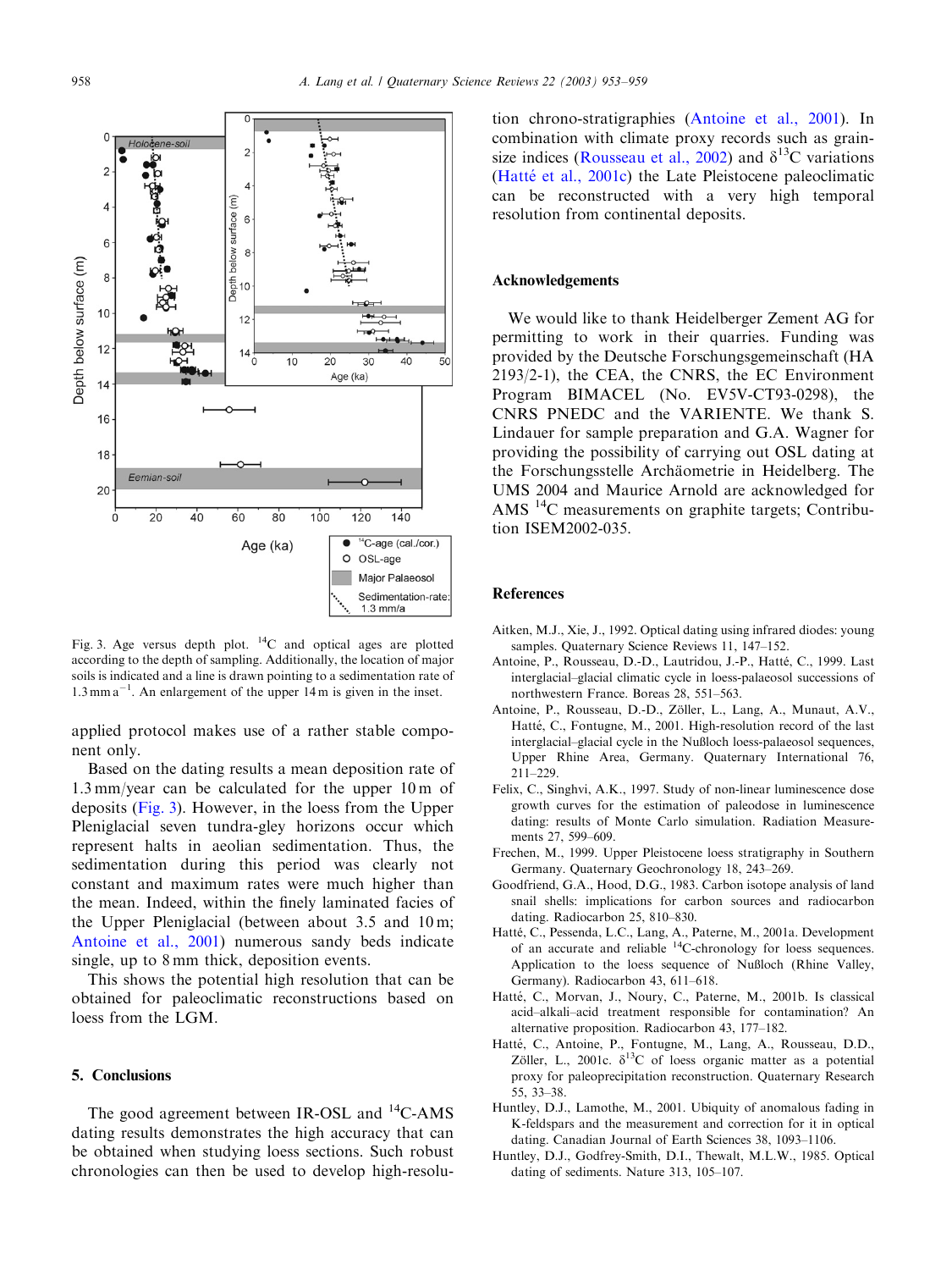<span id="page-5-0"></span>

Fig. 3. Age versus depth plot. 14C and optical ages are plotted according to the depth of sampling. Additionally, the location of major soils is indicated and a line is drawn pointing to a sedimentation rate of  $1.3$  mm a<sup>-1</sup>. An enlargement of the upper 14 m is given in the inset.

applied protocol makes use of a rather stable component only.

Based on the dating results a mean deposition rate of 1.3 mm/year can be calculated for the upper 10 m of deposits (Fig. 3). However, in the loess fromthe Upper Pleniglacial seven tundra-gley horizons occur which represent halts in aeolian sedimentation. Thus, the sedimentation during this period was clearly not constant and maximum rates were much higher than the mean. Indeed, within the finely laminated facies of the Upper Pleniglacial (between about 3.5 and 10 m; Antoine et al., 2001) numerous sandy beds indicate single, up to 8 mm thick, deposition events.

This shows the potential high resolution that can be obtained for paleoclimatic reconstructions based on loess from the LGM.

### 5. Conclusions

The good agreement between IR-OSL and <sup>14</sup>C-AMS dating results demonstrates the high accuracy that can be obtained when studying loess sections. Such robust chronologies can then be used to develop high-resolu-

tion chrono-stratigraphies (Antoine et al., 2001). In combination with climate proxy records such as grain-size indices [\(Rousseau et al., 2002](#page-6-0)) and  $\delta^{13}$ C variations (Hatté et al., 2001c) the Late Pleistocene paleoclimatic can be reconstructed with a very high temporal resolution from continental deposits.

### Acknowledgements

We would like to thank Heidelberger Zement AG for permitting to work in their quarries. Funding was provided by the Deutsche Forschungsgemeinschaft (HA 2193/2-1), the CEA, the CNRS, the EC Environment Program BIMACEL (No. EV5V-CT93-0298), the CNRS PNEDC and the VARIENTE. We thank S. Lindauer for sample preparation and G.A. Wagner for providing the possibility of carrying out OSL dating at the Forschungsstelle Archäometrie in Heidelberg. The UMS 2004 and Maurice Arnold are acknowledged for AMS  $^{14}$ C measurements on graphite targets; Contribution ISEM2002-035.

### References

- Aitken, M.J., Xie, J., 1992. Optical dating using infrared diodes: young samples. Quaternary Science Reviews 11, 147–152.
- Antoine, P., Rousseau, D.-D., Lautridou, J.-P., Hatté, C., 1999. Last interglacial–glacial climatic cycle in loess-palaeosol successions of northwestern France. Boreas 28, 551–563.
- Antoine, P., Rousseau, D.-D., Zöller, L., Lang, A., Munaut, A.V., Hatté, C., Fontugne, M., 2001. High-resolution record of the last interglacial-glacial cycle in the Nußloch loess-palaeosol sequences, Upper Rhine Area, Germany. Quaternary International 76, 211–229.
- Felix, C., Singhvi, A.K., 1997. Study of non-linear luminescence dose growth curves for the estimation of paleodose in luminescence dating: results of Monte Carlo simulation. Radiation Measurements 27, 599–609.
- Frechen, M., 1999. Upper Pleistocene loess stratigraphy in Southern Germany. Quaternary Geochronology 18, 243–269.
- Goodfriend, G.A., Hood, D.G., 1983. Carbon isotope analysis of land snail shells: implications for carbon sources and radiocarbon dating. Radiocarbon 25, 810–830.
- Hatté, C., Pessenda, L.C., Lang, A., Paterne, M., 2001a. Development of an accurate and reliable  $^{14}$ C-chronology for loess sequences. Application to the loess sequence of Nußloch (Rhine Valley, Germany). Radiocarbon 43, 611–618.
- Hatté, C., Morvan, J., Noury, C., Paterne, M., 2001b. Is classical acid–alkali–acid treatment responsible for contamination? An alternative proposition. Radiocarbon 43, 177–182.
- Hatté, C., Antoine, P., Fontugne, M., Lang, A., Rousseau, D.D., Zöller, L., 2001c.  $\delta^{13}C$  of loess organic matter as a potential proxy for paleoprecipitation reconstruction. Quaternary Research 55, 33–38.
- Huntley, D.J., Lamothe, M., 2001. Ubiquity of anomalous fading in K-feldspars and the measurement and correction for it in optical dating. Canadian Journal of Earth Sciences 38, 1093–1106.
- Huntley, D.J., Godfrey-Smith, D.I., Thewalt, M.L.W., 1985. Optical dating of sediments. Nature 313, 105–107.